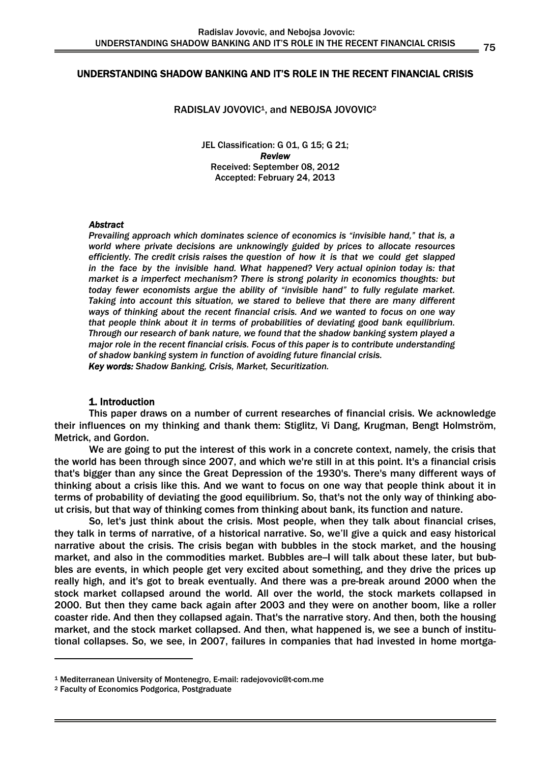### UNDERSTANDING SHADOW BANKING AND IT'S ROLE IN THE RECENT FINANCIAL CRISIS

### RADISLAV JOVOVIC<sup>1</sup>, and NEBOJSA JOVOVIC<sup>2</sup>

JEL Classification: G 01, G 15; G 21; *Review*  Received: September 08, 2012 Accepted: February 24, 2013

#### *Abstract*

*Prevailing approach which dominates science of economics is "invisible hand," that is, a world where private decisions are unknowingly guided by prices to allocate resources efficiently. The credit crisis raises the question of how it is that we could get slapped in the face by the invisible hand. What happened? Very actual opinion today is: that market is a imperfect mechanism? There is strong polarity in economics thoughts: but today fewer economists argue the ability of "invisible hand" to fully regulate market. Taking into account this situation, we stared to believe that there are many different ways of thinking about the recent financial crisis. And we wanted to focus on one way that people think about it in terms of probabilities of deviating good bank equilibrium. Through our research of bank nature, we found that the shadow banking system played a major role in the recent financial crisis. Focus of this paper is to contribute understanding of shadow banking system in function of avoiding future financial crisis. Key words: Shadow Banking, Crisis, Market, Securitization.* 

### 1. Introduction

 This paper draws on a number of current researches of financial crisis. We acknowledge their influences on my thinking and thank them: Stiglitz, Vi Dang, Krugman, Bengt Holmström, Metrick, and Gordon.

We are going to put the interest of this work in a concrete context, namely, the crisis that the world has been through since 2007, and which we're still in at this point. It's a financial crisis that's bigger than any since the Great Depression of the 1930's. There's many different ways of thinking about a crisis like this. And we want to focus on one way that people think about it in terms of probability of deviating the good equilibrium. So, that's not the only way of thinking about crisis, but that way of thinking comes from thinking about bank, its function and nature.

 So, let's just think about the crisis. Most people, when they talk about financial crises, they talk in terms of narrative, of a historical narrative. So, we'll give a quick and easy historical narrative about the crisis. The crisis began with bubbles in the stock market, and the housing market, and also in the commodities market. Bubbles are-I will talk about these later, but bubbles are events, in which people get very excited about something, and they drive the prices up really high, and it's got to break eventually. And there was a pre-break around 2000 when the stock market collapsed around the world. All over the world, the stock markets collapsed in 2000. But then they came back again after 2003 and they were on another boom, like a roller coaster ride. And then they collapsed again. That's the narrative story. And then, both the housing market, and the stock market collapsed. And then, what happened is, we see a bunch of institutional collapses. So, we see, in 2007, failures in companies that had invested in home mortga-

1

<sup>1</sup> Mediterranean University of Montenegro, E-mail: radejovovic@t-com.me 2 Faculty of Economics Podgorica, Postgraduate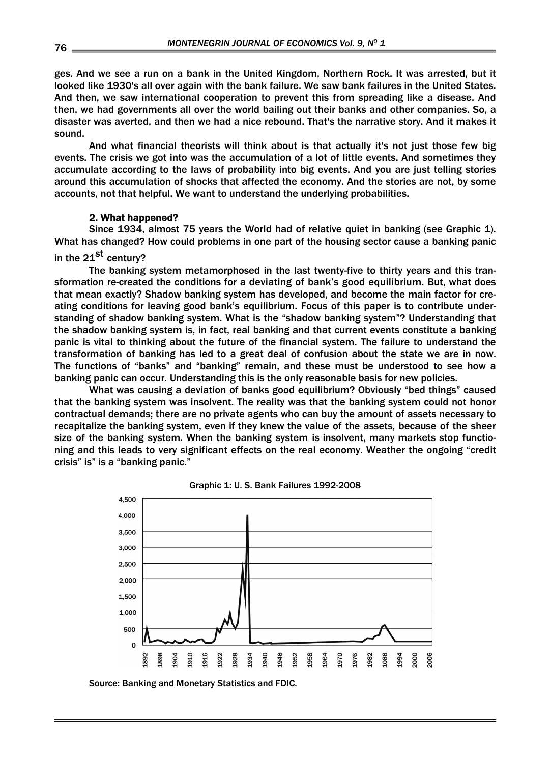ges. And we see a run on a bank in the United Kingdom, Northern Rock. It was arrested, but it looked like 1930's all over again with the bank failure. We saw bank failures in the United States. And then, we saw international cooperation to prevent this from spreading like a disease. And then, we had governments all over the world bailing out their banks and other companies. So, a disaster was averted, and then we had a nice rebound. That's the narrative story. And it makes it sound.

 And what financial theorists will think about is that actually it's not just those few big events. The crisis we got into was the accumulation of a lot of little events. And sometimes they accumulate according to the laws of probability into big events. And you are just telling stories around this accumulation of shocks that affected the economy. And the stories are not, by some accounts, not that helpful. We want to understand the underlying probabilities.

# 2. What happened?

 Since 1934, almost 75 years the World had of relative quiet in banking (see Graphic 1). What has changed? How could problems in one part of the housing sector cause a banking panic in the  $21^{st}$  century?

 The banking system metamorphosed in the last twenty-five to thirty years and this transformation re-created the conditions for a deviating of bank's good equilibrium. But, what does that mean exactly? Shadow banking system has developed, and become the main factor for creating conditions for leaving good bank's equilibrium. Focus of this paper is to contribute understanding of shadow banking system. What is the "shadow banking system"? Understanding that the shadow banking system is, in fact, real banking and that current events constitute a banking panic is vital to thinking about the future of the financial system. The failure to understand the transformation of banking has led to a great deal of confusion about the state we are in now. The functions of "banks" and "banking" remain, and these must be understood to see how a banking panic can occur. Understanding this is the only reasonable basis for new policies.

 What was causing a deviation of banks good equilibrium? Obviously "bed things" caused that the banking system was insolvent. The reality was that the banking system could not honor contractual demands; there are no private agents who can buy the amount of assets necessary to recapitalize the banking system, even if they knew the value of the assets, because of the sheer size of the banking system. When the banking system is insolvent, many markets stop functioning and this leads to very significant effects on the real economy. Weather the ongoing "credit crisis" is" is a "banking panic."





Source: Banking and Monetary Statistics and FDIC.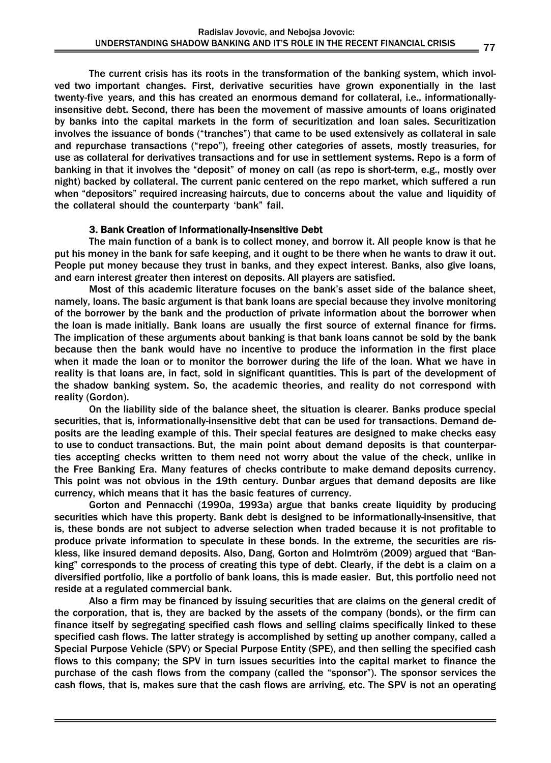The current crisis has its roots in the transformation of the banking system, which involved two important changes. First, derivative securities have grown exponentially in the last twenty-five years, and this has created an enormous demand for collateral, i.e., informationallyinsensitive debt. Second, there has been the movement of massive amounts of loans originated by banks into the capital markets in the form of securitization and loan sales. Securitization involves the issuance of bonds ("tranches") that came to be used extensively as collateral in sale and repurchase transactions ("repo"), freeing other categories of assets, mostly treasuries, for use as collateral for derivatives transactions and for use in settlement systems. Repo is a form of banking in that it involves the "deposit" of money on call (as repo is short-term, e.g., mostly over night) backed by collateral. The current panic centered on the repo market, which suffered a run when "depositors" required increasing haircuts, due to concerns about the value and liquidity of the collateral should the counterparty 'bank" fail.

# 3. Bank Creation of Informationally-Insensitive Debt

 The main function of a bank is to collect money, and borrow it. All people know is that he put his money in the bank for safe keeping, and it ought to be there when he wants to draw it out. People put money because they trust in banks, and they expect interest. Banks, also give loans, and earn interest greater then interest on deposits. All players are satisfied.

 Most of this academic literature focuses on the bank's asset side of the balance sheet, namely, loans. The basic argument is that bank loans are special because they involve monitoring of the borrower by the bank and the production of private information about the borrower when the loan is made initially. Bank loans are usually the first source of external finance for firms. The implication of these arguments about banking is that bank loans cannot be sold by the bank because then the bank would have no incentive to produce the information in the first place when it made the loan or to monitor the borrower during the life of the loan. What we have in reality is that loans are, in fact, sold in significant quantities. This is part of the development of the shadow banking system. So, the academic theories, and reality do not correspond with reality (Gordon).

 On the liability side of the balance sheet, the situation is clearer. Banks produce special securities, that is, informationally-insensitive debt that can be used for transactions. Demand deposits are the leading example of this. Their special features are designed to make checks easy to use to conduct transactions. But, the main point about demand deposits is that counterparties accepting checks written to them need not worry about the value of the check, unlike in the Free Banking Era. Many features of checks contribute to make demand deposits currency. This point was not obvious in the 19th century. Dunbar argues that demand deposits are like currency, which means that it has the basic features of currency.

 Gorton and Pennacchi (1990a, 1993a) argue that banks create liquidity by producing securities which have this property. Bank debt is designed to be informationally-insensitive, that is, these bonds are not subject to adverse selection when traded because it is not profitable to produce private information to speculate in these bonds. In the extreme, the securities are riskless, like insured demand deposits. Also, Dang, Gorton and Holmtröm (2009) argued that "Banking" corresponds to the process of creating this type of debt. Clearly, if the debt is a claim on a diversified portfolio, like a portfolio of bank loans, this is made easier. But, this portfolio need not reside at a regulated commercial bank.

 Also a firm may be financed by issuing securities that are claims on the general credit of the corporation, that is, they are backed by the assets of the company (bonds), or the firm can finance itself by segregating specified cash flows and selling claims specifically linked to these specified cash flows. The latter strategy is accomplished by setting up another company, called a Special Purpose Vehicle (SPV) or Special Purpose Entity (SPE), and then selling the specified cash flows to this company; the SPV in turn issues securities into the capital market to finance the purchase of the cash flows from the company (called the "sponsor"). The sponsor services the cash flows, that is, makes sure that the cash flows are arriving, etc. The SPV is not an operating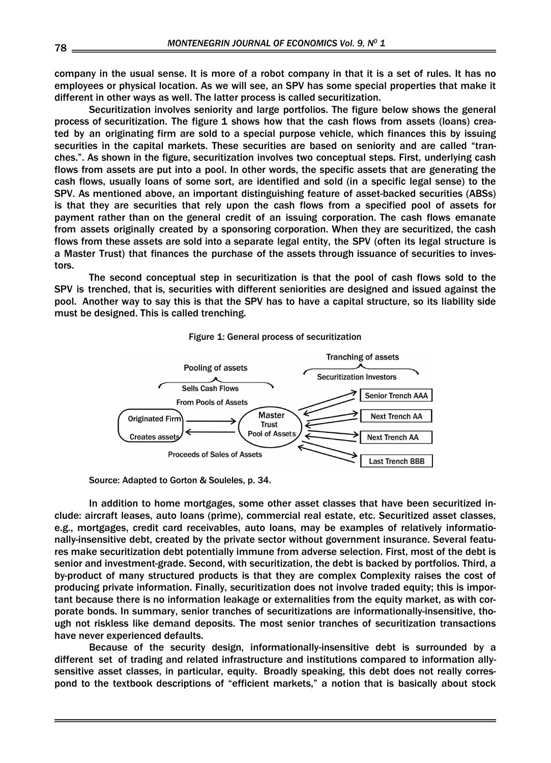company in the usual sense. It is more of a robot company in that it is a set of rules. It has no employees or physical location. As we will see, an SPV has some special properties that make it different in other ways as well. The latter process is called securitization.

 Securitization involves seniority and large portfolios. The figure below shows the general process of securitization. The figure 1 shows how that the cash flows from assets (loans) created by an originating firm are sold to a special purpose vehicle, which finances this by issuing securities in the capital markets. These securities are based on seniority and are called "tranches.". As shown in the figure, securitization involves two conceptual steps. First, underlying cash flows from assets are put into a pool. In other words, the specific assets that are generating the cash flows, usually loans of some sort, are identified and sold (in a specific legal sense) to the SPV. As mentioned above, an important distinguishing feature of asset-backed securities (ABSs) is that they are securities that rely upon the cash flows from a specified pool of assets for payment rather than on the general credit of an issuing corporation. The cash flows emanate from assets originally created by a sponsoring corporation. When they are securitized, the cash flows from these assets are sold into a separate legal entity, the SPV (often its legal structure is a Master Trust) that finances the purchase of the assets through issuance of securities to investors.

 The second conceptual step in securitization is that the pool of cash flows sold to the SPV is trenched, that is, securities with different seniorities are designed and issued against the pool. Another way to say this is that the SPV has to have a capital structure, so its liability side must be designed. This is called trenching.



#### Figure 1: General process of securitization

Source: Adapted to Gorton & Souleles, p. 34.

 In addition to home mortgages, some other asset classes that have been securitized include: aircraft leases, auto loans (prime), commercial real estate, etc. Securitized asset classes, e.g., mortgages, credit card receivables, auto loans, may be examples of relatively informationally-insensitive debt, created by the private sector without government insurance. Several features make securitization debt potentially immune from adverse selection. First, most of the debt is senior and investment-grade. Second, with securitization, the debt is backed by portfolios. Third, a by-product of many structured products is that they are complex Complexity raises the cost of producing private information. Finally, securitization does not involve traded equity; this is important because there is no information leakage or externalities from the equity market, as with corporate bonds. In summary, senior tranches of securitizations are informationally-insensitive, though not riskless like demand deposits. The most senior tranches of securitization transactions have never experienced defaults.

 Because of the security design, informationally-insensitive debt is surrounded by a different set of trading and related infrastructure and institutions compared to information allysensitive asset classes, in particular, equity. Broadly speaking, this debt does not really correspond to the textbook descriptions of "efficient markets," a notion that is basically about stock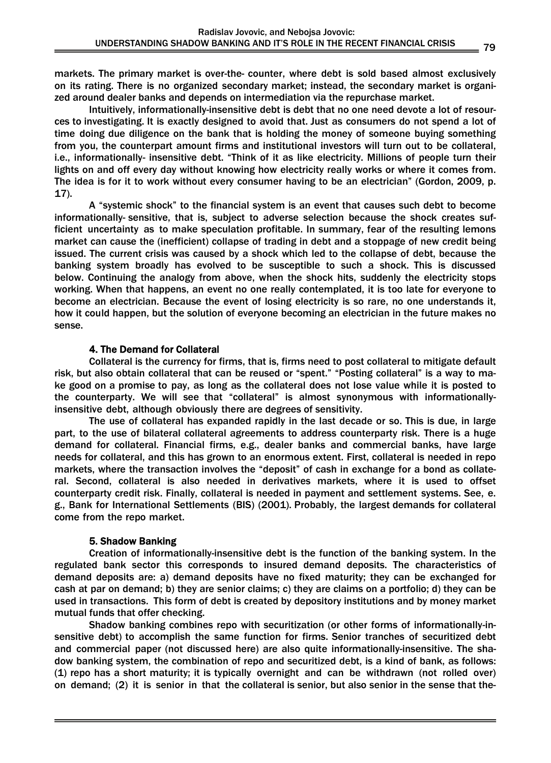markets. The primary market is over-the- counter, where debt is sold based almost exclusively on its rating. There is no organized secondary market; instead, the secondary market is organized around dealer banks and depends on intermediation via the repurchase market.

 Intuitively, informationally-insensitive debt is debt that no one need devote a lot of resources to investigating. It is exactly designed to avoid that. Just as consumers do not spend a lot of time doing due diligence on the bank that is holding the money of someone buying something from you, the counterpart amount firms and institutional investors will turn out to be collateral, i.e., informationally- insensitive debt. "Think of it as like electricity. Millions of people turn their lights on and off every day without knowing how electricity really works or where it comes from. The idea is for it to work without every consumer having to be an electrician" (Gordon, 2009, p. 17).

 A "systemic shock" to the financial system is an event that causes such debt to become informationally- sensitive, that is, subject to adverse selection because the shock creates sufficient uncertainty as to make speculation profitable. In summary, fear of the resulting lemons market can cause the (inefficient) collapse of trading in debt and a stoppage of new credit being issued. The current crisis was caused by a shock which led to the collapse of debt, because the banking system broadly has evolved to be susceptible to such a shock. This is discussed below. Continuing the analogy from above, when the shock hits, suddenly the electricity stops working. When that happens, an event no one really contemplated, it is too late for everyone to become an electrician. Because the event of losing electricity is so rare, no one understands it, how it could happen, but the solution of everyone becoming an electrician in the future makes no sense.

# 4. The Demand for Collateral

 Collateral is the currency for firms, that is, firms need to post collateral to mitigate default risk, but also obtain collateral that can be reused or "spent." "Posting collateral" is a way to make good on a promise to pay, as long as the collateral does not lose value while it is posted to the counterparty. We will see that "collateral" is almost synonymous with informationallyinsensitive debt, although obviously there are degrees of sensitivity.

 The use of collateral has expanded rapidly in the last decade or so. This is due, in large part, to the use of bilateral collateral agreements to address counterparty risk. There is a huge demand for collateral. Financial firms, e.g., dealer banks and commercial banks, have large needs for collateral, and this has grown to an enormous extent. First, collateral is needed in repo markets, where the transaction involves the "deposit" of cash in exchange for a bond as collateral. Second, collateral is also needed in derivatives markets, where it is used to offset counterparty credit risk. Finally, collateral is needed in payment and settlement systems. See, e. g., Bank for International Settlements (BIS) (2001). Probably, the largest demands for collateral come from the repo market.

# 5. Shadow Banking

 Creation of informationally-insensitive debt is the function of the banking system. In the regulated bank sector this corresponds to insured demand deposits. The characteristics of demand deposits are: a) demand deposits have no fixed maturity; they can be exchanged for cash at par on demand; b) they are senior claims; c) they are claims on a portfolio; d) they can be used in transactions. This form of debt is created by depository institutions and by money market mutual funds that offer checking.

 Shadow banking combines repo with securitization (or other forms of informationally-insensitive debt) to accomplish the same function for firms. Senior tranches of securitized debt and commercial paper (not discussed here) are also quite informationally-insensitive. The shadow banking system, the combination of repo and securitized debt, is a kind of bank, as follows: (1) repo has a short maturity; it is typically overnight and can be withdrawn (not rolled over) on demand; (2) it is senior in that the collateral is senior, but also senior in the sense that the-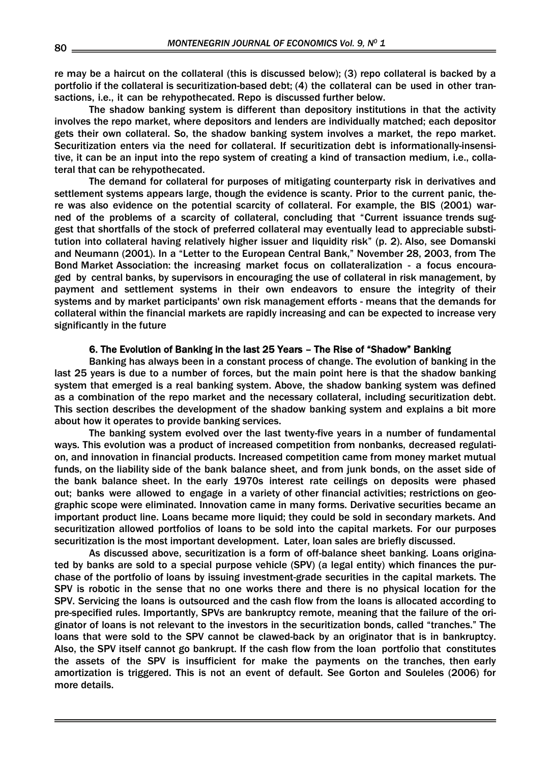re may be a haircut on the collateral (this is discussed below); (3) repo collateral is backed by a portfolio if the collateral is securitization-based debt; (4) the collateral can be used in other transactions, i.e., it can be rehypothecated. Repo is discussed further below.

 The shadow banking system is different than depository institutions in that the activity involves the repo market, where depositors and lenders are individually matched; each depositor gets their own collateral. So, the shadow banking system involves a market, the repo market. Securitization enters via the need for collateral. If securitization debt is informationally-insensitive, it can be an input into the repo system of creating a kind of transaction medium, i.e., collateral that can be rehypothecated.

 The demand for collateral for purposes of mitigating counterparty risk in derivatives and settlement systems appears large, though the evidence is scanty. Prior to the current panic, there was also evidence on the potential scarcity of collateral. For example, the BIS (2001) warned of the problems of a scarcity of collateral, concluding that "Current issuance trends suggest that shortfalls of the stock of preferred collateral may eventually lead to appreciable substitution into collateral having relatively higher issuer and liquidity risk" (p. 2). Also, see Domanski and Neumann (2001). In a "Letter to the European Central Bank," November 28, 2003, from The Bond Market Association: the increasing market focus on collateralization - a focus encouraged by central banks, by supervisors in encouraging the use of collateral in risk management, by payment and settlement systems in their own endeavors to ensure the integrity of their systems and by market participants' own risk management efforts - means that the demands for collateral within the financial markets are rapidly increasing and can be expected to increase very significantly in the future

# 6. The Evolution of Banking in the last 25 Years – The Rise of "Shadow" Banking

 Banking has always been in a constant process of change. The evolution of banking in the last 25 years is due to a number of forces, but the main point here is that the shadow banking system that emerged is a real banking system. Above, the shadow banking system was defined as a combination of the repo market and the necessary collateral, including securitization debt. This section describes the development of the shadow banking system and explains a bit more about how it operates to provide banking services.

 The banking system evolved over the last twenty-five years in a number of fundamental ways. This evolution was a product of increased competition from nonbanks, decreased regulation, and innovation in financial products. Increased competition came from money market mutual funds, on the liability side of the bank balance sheet, and from junk bonds, on the asset side of the bank balance sheet. In the early 1970s interest rate ceilings on deposits were phased out; banks were allowed to engage in a variety of other financial activities; restrictions on geographic scope were eliminated. Innovation came in many forms. Derivative securities became an important product line. Loans became more liquid; they could be sold in secondary markets. And securitization allowed portfolios of loans to be sold into the capital markets. For our purposes securitization is the most important development. Later, loan sales are briefly discussed.

 As discussed above, securitization is a form of off-balance sheet banking. Loans originated by banks are sold to a special purpose vehicle (SPV) (a legal entity) which finances the purchase of the portfolio of loans by issuing investment-grade securities in the capital markets. The SPV is robotic in the sense that no one works there and there is no physical location for the SPV. Servicing the loans is outsourced and the cash flow from the loans is allocated according to pre-specified rules. Importantly, SPVs are bankruptcy remote, meaning that the failure of the originator of loans is not relevant to the investors in the securitization bonds, called "tranches." The loans that were sold to the SPV cannot be clawed-back by an originator that is in bankruptcy. Also, the SPV itself cannot go bankrupt. If the cash flow from the loan portfolio that constitutes the assets of the SPV is insufficient for make the payments on the tranches, then early amortization is triggered. This is not an event of default. See Gorton and Souleles (2006) for more details.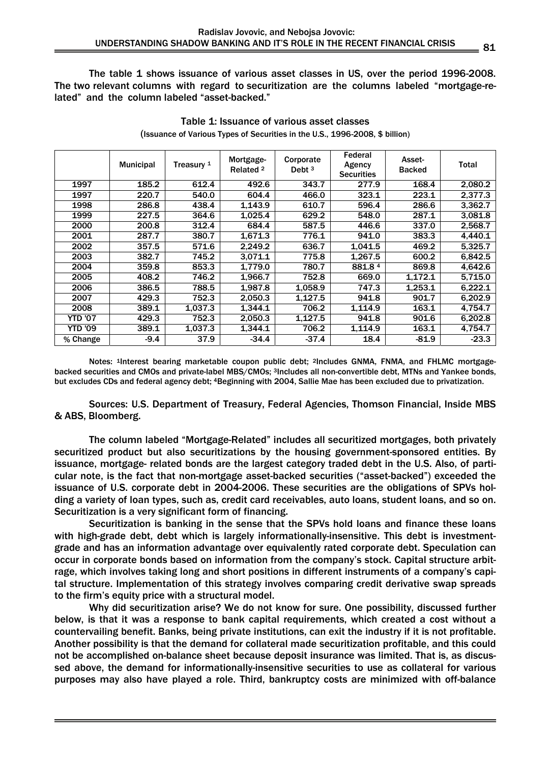The table 1 shows issuance of various asset classes in US, over the period 1996-2008. The two relevant columns with regard to securitization are the columns labeled "mortgage-related" and the column labeled "asset-backed."

|          | <b>Municipal</b> | Treasury 1 | Mortgage-<br>Related <sup>2</sup> | Corporate<br>Debt $3$ | Federal<br>Agency<br><b>Securities</b> | Asset-<br><b>Backed</b> | Total   |
|----------|------------------|------------|-----------------------------------|-----------------------|----------------------------------------|-------------------------|---------|
| 1997     | 185.2            | 612.4      | 492.6                             | 343.7                 | 277.9                                  | 168.4                   | 2,080.2 |
| 1997     | 220.7            | 540.0      | 604.4                             | 466.0                 | 323.1                                  | 223.1                   | 2,377.3 |
| 1998     | 286.8            | 438.4      | 1.143.9                           | 610.7                 | 596.4                                  | 286.6                   | 3,362.7 |
| 1999     | 227.5            | 364.6      | 1,025.4                           | 629.2                 | 548.0                                  | 287.1                   | 3,081.8 |
| 2000     | 200.8            | 312.4      | 684.4                             | 587.5                 | 446.6                                  | 337.0                   | 2,568.7 |
| 2001     | 287.7            | 380.7      | 1.671.3                           | 776.1                 | 941.0                                  | 383.3                   | 4.440.1 |
| 2002     | 357.5            | 571.6      | 2,249.2                           | 636.7                 | 1.041.5                                | 469.2                   | 5,325.7 |
| 2003     | 382.7            | 745.2      | 3,071.1                           | 775.8                 | 1,267.5                                | 600.2                   | 6,842.5 |
| 2004     | 359.8            | 853.3      | 1,779.0                           | 780.7                 | 881.84                                 | 869.8                   | 4,642.6 |
| 2005     | 408.2            | 746.2      | 1,966.7                           | 752.8                 | 669.0                                  | 1.172.1                 | 5,715.0 |
| 2006     | 386.5            | 788.5      | 1,987.8                           | 1,058.9               | 747.3                                  | 1.253.1                 | 6,222.1 |
| 2007     | 429.3            | 752.3      | 2.050.3                           | 1,127.5               | 941.8                                  | 901.7                   | 6.202.9 |
| 2008     | 389.1            | 1,037.3    | 1.344.1                           | 706.2                 | 1,114.9                                | 163.1                   | 4,754.7 |
| YTD '07  | 429.3            | 752.3      | 2.050.3                           | 1,127.5               | 941.8                                  | 901.6                   | 6,202.8 |
| YTD '09  | 389.1            | 1,037.3    | 1.344.1                           | 706.2                 | 1.114.9                                | 163.1                   | 4.754.7 |
| % Change | $-9.4$           | 37.9       | $-34.4$                           | $-37.4$               | 18.4                                   | $-81.9$                 | $-23.3$ |

Table 1: Issuance of various asset classes (Issuance of Various Types of Securities in the U.S., 1996-2008, \$ billion)

Notes: 1Interest bearing marketable coupon public debt; 2Includes GNMA, FNMA, and FHLMC mortgagebacked securities and CMOs and private-label MBS/CMOs: 3Includes all non-convertible debt. MTNs and Yankee bonds, but excludes CDs and federal agency debt; 4Beginning with 2004, Sallie Mae has been excluded due to privatization.

Sources: U.S. Department of Treasury, Federal Agencies, Thomson Financial, Inside MBS & ABS, Bloomberg.

 The column labeled "Mortgage-Related" includes all securitized mortgages, both privately securitized product but also securitizations by the housing government-sponsored entities. By issuance, mortgage- related bonds are the largest category traded debt in the U.S. Also, of particular note, is the fact that non-mortgage asset-backed securities ("asset-backed") exceeded the issuance of U.S. corporate debt in 2004-2006. These securities are the obligations of SPVs holding a variety of loan types, such as, credit card receivables, auto loans, student loans, and so on. Securitization is a very significant form of financing.

 Securitization is banking in the sense that the SPVs hold loans and finance these loans with high-grade debt, debt which is largely informationally-insensitive. This debt is investmentgrade and has an information advantage over equivalently rated corporate debt. Speculation can occur in corporate bonds based on information from the company's stock. Capital structure arbitrage, which involves taking long and short positions in different instruments of a company's capital structure. Implementation of this strategy involves comparing credit derivative swap spreads to the firm's equity price with a structural model.

 Why did securitization arise? We do not know for sure. One possibility, discussed further below, is that it was a response to bank capital requirements, which created a cost without a countervailing benefit. Banks, being private institutions, can exit the industry if it is not profitable. Another possibility is that the demand for collateral made securitization profitable, and this could not be accomplished on-balance sheet because deposit insurance was limited. That is, as discussed above, the demand for informationally-insensitive securities to use as collateral for various purposes may also have played a role. Third, bankruptcy costs are minimized with off-balance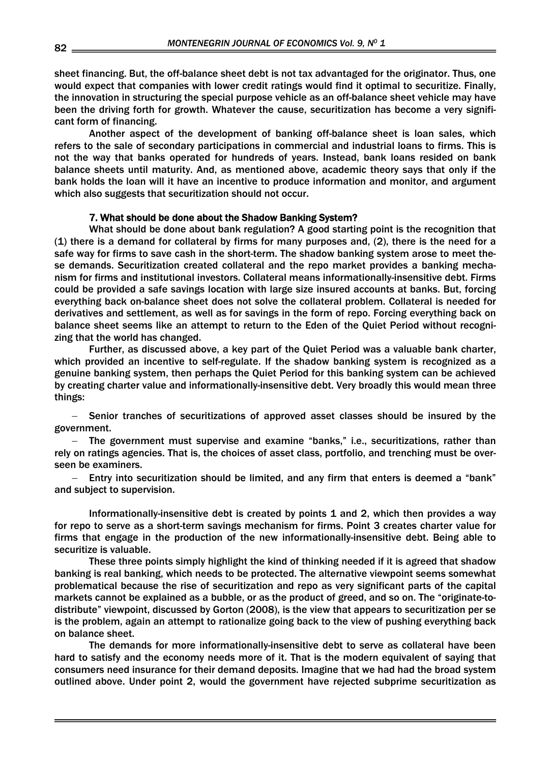sheet financing. But, the off-balance sheet debt is not tax advantaged for the originator. Thus, one would expect that companies with lower credit ratings would find it optimal to securitize. Finally, the innovation in structuring the special purpose vehicle as an off-balance sheet vehicle may have been the driving forth for growth. Whatever the cause, securitization has become a very significant form of financing.

 Another aspect of the development of banking off-balance sheet is loan sales, which refers to the sale of secondary participations in commercial and industrial loans to firms. This is not the way that banks operated for hundreds of years. Instead, bank loans resided on bank balance sheets until maturity. And, as mentioned above, academic theory says that only if the bank holds the loan will it have an incentive to produce information and monitor, and argument which also suggests that securitization should not occur.

### 7. What should be done about the Shadow Banking System?

 What should be done about bank regulation? A good starting point is the recognition that (1) there is a demand for collateral by firms for many purposes and, (2), there is the need for a safe way for firms to save cash in the short-term. The shadow banking system arose to meet these demands. Securitization created collateral and the repo market provides a banking mechanism for firms and institutional investors. Collateral means informationally-insensitive debt. Firms could be provided a safe savings location with large size insured accounts at banks. But, forcing everything back on-balance sheet does not solve the collateral problem. Collateral is needed for derivatives and settlement, as well as for savings in the form of repo. Forcing everything back on balance sheet seems like an attempt to return to the Eden of the Quiet Period without recognizing that the world has changed.

 Further, as discussed above, a key part of the Quiet Period was a valuable bank charter, which provided an incentive to self-regulate. If the shadow banking system is recognized as a genuine banking system, then perhaps the Quiet Period for this banking system can be achieved by creating charter value and informationally-insensitive debt. Very broadly this would mean three things:

− Senior tranches of securitizations of approved asset classes should be insured by the government.

− The government must supervise and examine "banks," i.e., securitizations, rather than rely on ratings agencies. That is, the choices of asset class, portfolio, and trenching must be overseen be examiners.

− Entry into securitization should be limited, and any firm that enters is deemed a "bank" and subject to supervision.

 Informationally-insensitive debt is created by points 1 and 2, which then provides a way for repo to serve as a short-term savings mechanism for firms. Point 3 creates charter value for firms that engage in the production of the new informationally-insensitive debt. Being able to securitize is valuable.

 These three points simply highlight the kind of thinking needed if it is agreed that shadow banking is real banking, which needs to be protected. The alternative viewpoint seems somewhat problematical because the rise of securitization and repo as very significant parts of the capital markets cannot be explained as a bubble, or as the product of greed, and so on. The "originate-todistribute" viewpoint, discussed by Gorton (2008), is the view that appears to securitization per se is the problem, again an attempt to rationalize going back to the view of pushing everything back on balance sheet.

 The demands for more informationally-insensitive debt to serve as collateral have been hard to satisfy and the economy needs more of it. That is the modern equivalent of saying that consumers need insurance for their demand deposits. Imagine that we had had the broad system outlined above. Under point 2, would the government have rejected subprime securitization as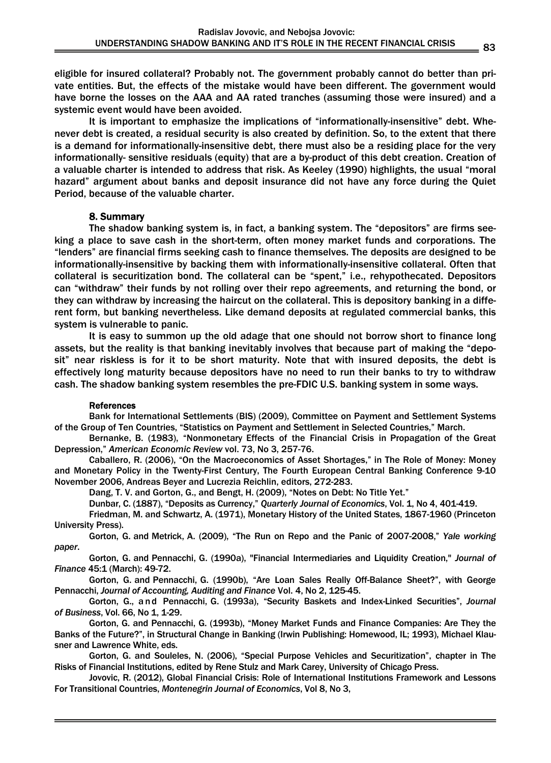eligible for insured collateral? Probably not. The government probably cannot do better than private entities. But, the effects of the mistake would have been different. The government would have borne the losses on the AAA and AA rated tranches (assuming those were insured) and a systemic event would have been avoided.

 It is important to emphasize the implications of "informationally-insensitive" debt. Whenever debt is created, a residual security is also created by definition. So, to the extent that there is a demand for informationally-insensitive debt, there must also be a residing place for the very informationally- sensitive residuals (equity) that are a by-product of this debt creation. Creation of a valuable charter is intended to address that risk. As Keeley (1990) highlights, the usual "moral hazard" argument about banks and deposit insurance did not have any force during the Quiet Period, because of the valuable charter.

# 8. Summary

 The shadow banking system is, in fact, a banking system. The "depositors" are firms seeking a place to save cash in the short-term, often money market funds and corporations. The "lenders" are financial firms seeking cash to finance themselves. The deposits are designed to be informationally-insensitive by backing them with informationally-insensitive collateral. Often that collateral is securitization bond. The collateral can be "spent," i.e., rehypothecated. Depositors can "withdraw" their funds by not rolling over their repo agreements, and returning the bond, or they can withdraw by increasing the haircut on the collateral. This is depository banking in a different form, but banking nevertheless. Like demand deposits at regulated commercial banks, this system is vulnerable to panic.

 It is easy to summon up the old adage that one should not borrow short to finance long assets, but the reality is that banking inevitably involves that because part of making the "deposit" near riskless is for it to be short maturity. Note that with insured deposits, the debt is effectively long maturity because depositors have no need to run their banks to try to withdraw cash. The shadow banking system resembles the pre-FDIC U.S. banking system in some ways.

### References

 Bank for International Settlements (BIS) (2009), Committee on Payment and Settlement Systems of the Group of Ten Countries, "Statistics on Payment and Settlement in Selected Countries," March.

 Bernanke, B. (1983), "Nonmonetary Effects of the Financial Crisis in Propagation of the Great Depression," *American Economic Review* vol. 73, No 3, 257-76.

 Caballero, R. (2006), "On the Macroeconomics of Asset Shortages," in The Role of Money: Money and Monetary Policy in the Twenty-First Century, The Fourth European Central Banking Conference 9-10 November 2006, Andreas Beyer and Lucrezia Reichlin, editors, 272-283.

Dang, T. V. and Gorton, G., and Bengt, H. (2009), "Notes on Debt: No Title Yet."

Dunbar, C. (1887), "Deposits as Currency," *Quarterly Journal of Economics*, Vol. 1, No 4, 401-419.

 Friedman, M. and Schwartz, A. (1971), Monetary History of the United States, 1867-1960 (Princeton University Press).

 Gorton, G. and Metrick, A. (2009), "The Run on Repo and the Panic of 2007-2008," *Yale working paper*.

 Gorton, G. and Pennacchi, G. (1990a), "Financial Intermediaries and Liquidity Creation," *Journal of Finance* 45:1 (March): 49-72.

 Gorton, G. and Pennacchi, G. (1990b), "Are Loan Sales Really Off-Balance Sheet?", with George Pennacchi, *Journal of Accounting, Auditing and Finance* Vol. 4, No 2, 125-45.

 Gorton, G., a n d Pennacchi, G. (1993a), "Security Baskets and Index-Linked Securities", *Journal of Business*, Vol. 66, No 1, 1-29.

 Gorton, G. and Pennacchi, G. (1993b), "Money Market Funds and Finance Companies: Are They the Banks of the Future?", in Structural Change in Banking (Irwin Publishing: Homewood, IL; 1993), Michael Klausner and Lawrence White, eds.

 Gorton, G. and Souleles, N. (2006), "Special Purpose Vehicles and Securitization", chapter in The Risks of Financial Institutions, edited by Rene Stulz and Mark Carey, University of Chicago Press.

 Jovovic, R. (2012), Global Financial Crisis: Role of International Institutions Framework and Lessons For Transitional Countries, *Montenegrin Journal of Economics*, Vol 8, No 3,